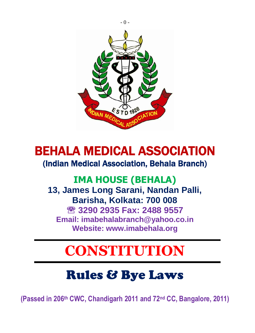

## BEHALA MEDICAL ASSOCIATION

### (Indian Medical Association, Behala Branch)

## **IMA HOUSE (BEHALA) 13, James Long Sarani, Nandan Palli, Barisha, Kolkata: 700 008 3290 2935 Fax: 2488 9557 Email: imabehalabranch@yahoo.co.in Website: www.imabehala.org**

# **CONSTITUTION**

# Rules & Bye Laws

**(Passed in 206th CWC, Chandigarh 2011 and 72nd CC, Bangalore, 2011)**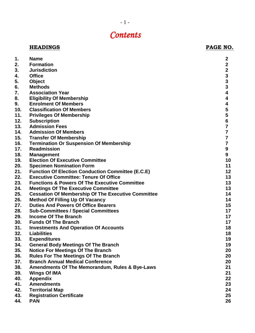## *Contents*

#### **HEADINGS** PAGE NO.

| 1.  | Name                                                      | $\mathbf{2}$            |
|-----|-----------------------------------------------------------|-------------------------|
| 2.  | <b>Formation</b>                                          | $\mathbf{2}$            |
| 3.  | <b>Jurisdiction</b>                                       | $\mathbf{2}$            |
| 4.  | <b>Office</b>                                             | $\mathbf{3}$            |
| 5.  | Object                                                    | $\mathbf{3}$            |
| 6.  | <b>Methods</b>                                            | $\mathbf{3}$            |
| 7.  | <b>Association Year</b>                                   | 4                       |
| 8.  | <b>Eligibility Of Membership</b>                          | 4                       |
| 9.  | <b>Enrolment Of Members</b>                               | 4                       |
| 10. | <b>Classification Of Members</b>                          | 5                       |
| 11. | <b>Privileges Of Membership</b>                           | 5                       |
| 12. | <b>Subscription</b>                                       | 6                       |
| 13. | <b>Admission Fees</b>                                     | $\overline{\mathbf{7}}$ |
| 14. | <b>Admission Of Members</b>                               | $\overline{7}$          |
| 15. | <b>Transfer Of Membership</b>                             | $\overline{7}$          |
| 16. | <b>Termination Or Suspension Of Membership</b>            | $\overline{\mathbf{r}}$ |
| 17. | <b>Readmission</b>                                        | $\boldsymbol{9}$        |
| 18. | <b>Management</b>                                         | 9                       |
| 19. | <b>Election Of Executive Committee</b>                    | 10                      |
| 20. | <b>Specimen Nomination Form</b>                           | 11                      |
| 21. | <b>Function Of Election Conduction Committee (E.C.E)</b>  | 12                      |
| 22. | <b>Executive Committee: Tenure Of Office</b>              | 13                      |
| 23. | <b>Functions &amp; Powers Of The Executive Committee</b>  | 13                      |
| 24. | <b>Meetings Of The Executive Committee</b>                | 13                      |
| 25. | <b>Cessation Of Membership Of The Executive Committee</b> | 14                      |
| 26. | <b>Method Of Filling Up Of Vacancy</b>                    | 14                      |
| 27. | <b>Duties And Powers Of Office Bearers</b>                | 15                      |
| 28. | <b>Sub-Committees / Special Committees</b>                | 17                      |
| 29. | Income Of The Branch                                      | 17                      |
| 30. | <b>Funds Of The Branch</b>                                | 17                      |
| 31. | <b>Investments And Operation Of Accounts</b>              | 18                      |
| 32. | <b>Liabilities</b>                                        | 18                      |
| 33. | <b>Expenditures</b>                                       | 19                      |
| 34. | <b>General Body Meetings Of The Branch</b>                | 19                      |
| 35. | <b>Notice For Meetings Of The Branch</b>                  | 20                      |
| 36. | <b>Rules For The Meetings Of The Branch</b>               | 20                      |
| 37. | <b>Branch Annual Medical Conference</b>                   | 20                      |
| 38. | Amendments Of The Memorandum, Rules & Bye-Laws            | 21                      |
| 39. | <b>Wings Of IMA</b>                                       | 21                      |
| 40. | <b>Appendix</b>                                           | 22                      |
| 41. | <b>Amendments</b>                                         | 23                      |
| 42. | <b>Territorial Map</b>                                    | 24                      |
| 43. | <b>Registration Certificate</b>                           | 25                      |
| 44. | <b>PAN</b>                                                | 26                      |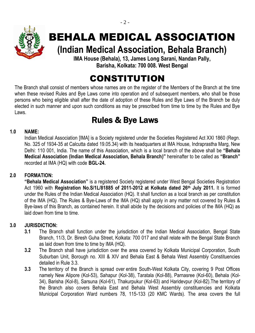

## BEHALA MEDICAL ASSOCIATION

**(Indian Medical Association, Behala Branch)**

**IMA House (Behala), 13, James Long Sarani, Nandan Pally, Barisha, Kolkata: 700 008. West Bengal**

## CONSTITUTION

The Branch shall consist of members whose names are on the register of the Members of the Branch at the time when these revised Rules and Bye Laws come into operation and of subsequent members, who shall be those persons who being eligible shall after the date of adoption of these Rules and Bye Laws of the Branch be duly elected in such manner and upon such conditions as may be prescribed from time to time by the Rules and Bye Laws.

## Rules & Bye Laws

#### **1.0 NAME:**

Indian Medical Association [IMA] is a Society registered under the Societies Registered Act XXI 1860 (Regn. No. 325 of 1934-35 at Calcutta dated 19.05.34) with its headquarters at IMA House, Indraprastha Marg, New Delhi: 110 001, India. The name of this Association, which is a local branch of the above shall be **"Behala Medical Association (Indian Medical Association, Behala Branch)"** hereinafter to be called as **"Branch"** recorded at IMA (HQ) with code **BGL-24.**

#### **2.0 FORMATION:**

**"Behala Medical Association"** is a registered Society registered under West Bengal Societies Registration Act 1960 with **Registration No.S/1L/81885 of 2011-2012 at Kolkata dated 26th July 2011.** It is formed under the Rules of the Indian Medical Association (HQ). It shall function as a local branch as per constitution of the IMA (HQ). The Rules & Bye-Laws of the IMA (HQ) shall apply in any matter not covered by Rules & Bye-laws of this Branch, as contained herein. It shall abide by the decisions and policies of the IMA (HQ) as laid down from time to time.

#### **3.0 JURISDICTION:**

- **3.1** The Branch shall function under the jurisdiction of the Indian Medical Association, Bengal State Branch, 11/3, Dr. Biresh Guha Street, Kolkata: 700 017 and shall relate with the Bengal State Branch as laid down from time to time by IMA (HQ).
- **3.2** The Branch shall have jurisdiction over the area covered by Kolkata Municipal Corporation, South Suburban Unit, Borough no. XIII & XIV and Behala East & Behala West Assembly Constituencies detailed in Rule 3.3.
- **3.3** The territory of the Branch is spread over entire South-West Kolkata City, covering 9 Post Offices namely New Alipore (Kol-53), Sahapur (Kol-38), Taratala (Kol-88), Parnasree (Kol-60), Behala (Kol-34), Barisha (Kol-8), Sarsuna (Kol-61), Thakurpukur (Kol-63) and Haridevpur (Kol-82).The territory of the Branch also covers Behala East and Behala West Assembly constituencies and Kolkata Municipal Corporation Ward numbers 78, 115-133 (20 KMC Wards). The area covers the full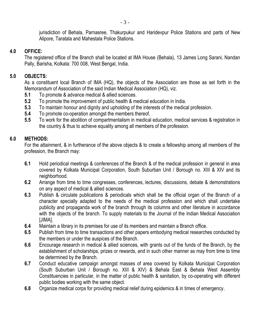jurisdiction of Behala, Parnasree, Thakurpukur and Haridevpur Police Stations and parts of New Alipore, Taratala and Mahestala Police Stations.

#### **4.0 OFFICE:**

The registered office of the Branch shall be located at IMA House (Behala), 13 James Long Sarani, Nandan Pally, Barisha, Kolkata: 700 008, West Bengal, India.

#### **5.0 OBJECTS:**

As a constituent local Branch of IMA (HQ), the objects of the Association are those as set forth in the Memorandum of Association of the said Indian Medical Association (HQ), viz.

- **5.1** To promote & advance medical & allied sciences.
- **5.2** To promote the improvement of public health & medical education in India.
- **5.3** To maintain honour and dignity and upholding of the interests of the medical profession.
- **5.4** To promote co-operation amongst the members thereof,
- **5.5** To work for the abolition of compartmentalism in medical education, medical services & registration in the country & thus to achieve equality among all members of the profession.

#### **6.0 METHODS:**

For the attainment, & in furtherance of the above objects & to create a fellowship among all members of the profession, the Branch may:

- **6.1** Hold periodical meetings & conferences of the Branch & of the medical profession in general in area covered by Kolkata Municipal Corporation, South Suburban Unit / Borough no. XIII & XIV and its neighborhood.
- **6.2** Arrange from time to time congresses, conferences, lectures, discussions, debate & demonstrations on any aspect of medical & allied sciences.
- **6.3** Publish & circulate publications & periodicals which shall be the official organ of the Branch of a character specially adapted to the needs of the medical profession and which shall undertake publicity and propaganda work of the branch through its columns and other literature in accordance with the objects of the branch. To supply materials to the Journal of the Indian Medical Association [JIMA].
- **6.4** Maintain a library in its premises for use of its members and maintain a Branch office.
- **6.5** Publish from time to time transactions and other papers embodying medical researches conducted by the members or under the auspices of the Branch.
- **6.6** Encourage research in medical & allied sciences, with grants out of the funds of the Branch, by the establishment of scholarships, prizes or rewards, and in such other manner as may from time to time be determined by the Branch.
- **6.7** Conduct educative campaign amongst masses of area covered by Kolkata Municipal Corporation (South Suburban Unit / Borough no. XIII & XIV) & Behala East & Behala West Assembly Constituencies in particular, in the matter of public health & sanitation, by co-operating with different public bodies working with the same object.
- **6.8** Organize medical corps for providing medical relief during epidemics & in times of emergency.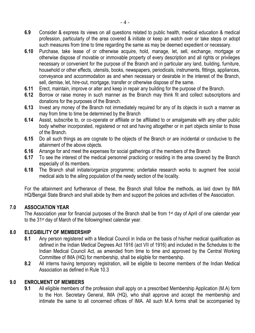- **6.9** Consider & express its views on all questions related to public health, medical education & medical profession, particularly of the area covered & initiate or keep an watch over or take steps or adopt such measures from time to time regarding the same as may be deemed expedient or necessary.
- **6.10** Purchase, take lease of or otherwise acquire, hold, manage, let, sell, exchange, mortgage or otherwise dispose of movable or immovable property of every description and all rights or privileges necessary or convenient for the purpose of the Branch and in particular any land, building, furniture, household or other effects, utensils, books, newspapers, periodicals, instruments, fittings, appliances, conveyance and accommodation as and when necessary or desirable in the interest of the Branch, sell, demise, let, hire-out, mortgage, transfer or otherwise dispose of the same.
- **6.11** Erect, maintain, improve or alter and keep in repair any building for the purpose of the Branch.
- **6.12** Borrow or raise money in such manner as the Branch may think fit and collect subscriptions and donations for the purposes of the Branch.
- **6.13** Invest any money of the Branch not immediately required for any of its objects in such a manner as may from time to time be determined by the Branch
- **6.14** Assist, subscribe to, or co-operate or affiliate or be affiliated to or amalgamate with any other public body whether incorporated, registered or not and having altogether or in part objects similar to those of the Branch.
- **6.15** Do all such things as are cognate to the objects of the Branch or are incidental or conducive to the attainment of the above objects.
- **6.16** Arrange for and meet the expenses for social gatherings of the members of the Branch
- **6.17** To see the interest of the medical personnel practicing or residing in the area covered by the Branch especially of its members.
- **6.18** The Branch shall initiate/organize programme; undertake research works to augment free social medical aids to the ailing population of the needy section of the locality.

For the attainment and furtherance of these, the Branch shall follow the methods, as laid down by IMA HQ/Bengal State Branch and shall abide by them and support the policies and activities of the Association.

#### **7.0 ASSOCIATION YEAR**

The Association year for financial purposes of the Branch shall be from 1<sup>st</sup> day of April of one calendar year to the 31st day of March of the following/next calendar year.

#### **8.0 ELEGIBILITY OF MEMBERSHIP**

- **8.1** Any person registered with a Medical Council in India on the basis of his/her medical qualification as defined in the Indian Medical Degrees Act 1916 (act VII of 1916) and included in the Schedules to the Indian Medical Council Act, as amended from time to time and approved by the Central Working Committee of IMA (HQ) for membership, shall be eligible for membership.
- **8.2** All interns having temporary registration, will be eligible to become members of the Indian Medical Association as defined in Rule 10.3

#### **9.0 ENROLMENT OF MEMBERS**

**9.1** All eligible members of the profession shall apply on a prescribed Membership Application (M.A) form to the Hon. Secretary General, IMA (HQ), who shall approve and accept the membership and intimate the same to all concerned offices of IMA. All such M.A forms shall be accompanied by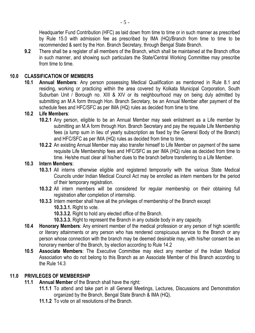Headquarter Fund Contribution (HFC) as laid down from time to time or in such manner as prescribed by Rule 15.0 with admission fee as prescribed by IMA (HQ)/Branch from time to time to be recommended & sent by the Hon. Branch Secretary, through Bengal State Branch.

**9.2** There shall be a register of all members of the Branch, which shall be maintained at the Branch office in such manner, and showing such particulars the State/Central Working Committee may prescribe from time to time.

#### **10.0 CLASSIFICATION OF MEMBERS**

**10.1 Annual Members**: Any person possessing Medical Qualification as mentioned in Rule 8.1 and residing, working or practicing within the area covered by Kolkata Municipal Corporation, South Suburban Unit / Borough no. XIII & XIV or its neighbourhood may on being duly admitted by submitting an M.A form through Hon. Branch Secretary, be an Annual Member after payment of the schedule fees and HFC/SFC as per IMA (HQ) rules as decided from time to time.

#### **10.2 Life Members**:

- **10.2.1** Any person, eligible to be an Annual Member may seek enlistment as a Life member by submitting an M.A form through Hon. Branch Secretary and pay the requisite Life Membership fees (a lump sum in lieu of yearly subscription as fixed by the General Body of the Branch) and HFC/SFC as per IMA (HQ) rules as decided from time to time.
- **10.2.2** An existing Annual Member may also transfer himself to Life Member on payment of the same requisite Life Membership fees and HFC/SFC as per IMA (HQ) rules as decided from time to time. He/she must clear all his/her dues to the branch before transferring to a Life Member.

#### **10.3 Intern Members**:

- **10.3.1** All interns otherwise eligible and registered temporarily with the various State Medical Councils under Indian Medical Council Act may be enrolled as intern members for the period of their temporary registration.
- **10.3.2** All intern members will be considered for regular membership on their obtaining full registration after completion of internship.
- **10.3.3** Intern member shall have all the privileges of membership of the Branch except
	- **10.3.3.1.** Right to vote.
	- **10.3.3.2.** Right to hold any elected office of the Branch.
	- **10.3.3.3.** Right to represent the Branch in any outside body in any capacity.
- **10.4 Honorary Members**: Any eminent member of the medical profession or any person of high scientific or literary attainments or any person who has rendered conspicuous service to the Branch or any person whose connection with the branch may be deemed desirable may, with his/her consent be an honorary member of the Branch, by election according to Rule 14.2
- **10.5 Associate Members**: The Executive Committee may elect any member of the Indian Medical Association who do not belong to this Branch as an Associate Member of this Branch according to the Rule 14.3

#### **11.0 PRIVILEGES OF MEMBERSHIP**

- **11.1 Annual Member** of the Branch shall have the right:
	- **11.1.1** To attend and take part in all General Meetings, Lectures, Discussions and Demonstration organized by the Branch, Bengal State Branch & IMA (HQ).
	- **11.1.2** To vote on all resolutions of the Branch.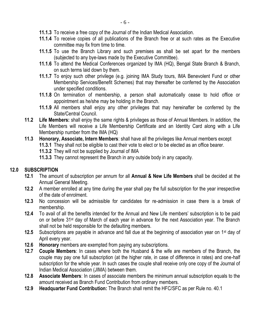- **11.1.3** To receive a free copy of the Journal of the Indian Medical Association.
- **11.1.4** To receive copies of all publications of the Branch free or at such rates as the Executive committee may fix from time to time.
- **11.1.5** To use the Branch Library and such premises as shall be set apart for the members (subjected to any bye-laws made by the Executive Committee).
- **11.1.6** To attend the Medical Conferences organized by IMA (HQ), Bengal State Branch & Branch, on such terms laid down by them.
- **11.1.7** To enjoy such other privilege (e.g. joining IMA Study tours, IMA Benevolent Fund or other Membership Services/Benefit Schemes) that may thereafter be conferred by the Association under specified conditions.
- **11.1.8** On termination of membership, a person shall automatically cease to hold office or appointment as he/she may be holding in the Branch.
- **11.1.9** All members shall enjoy any other privileges that may hereinafter be conferred by the State/Central Council.
- **11.2 Life Members:** shall enjoy the same rights & privileges as those of Annual Members. In addition, the Life Members will receive a Life Membership Certificate and an Identity Card along with a Life Membership number from the IMA (HQ)
- **11.3 Honorary, Associate, Intern Members**: shall have all the privileges like Annual members except
	- **11.3.1** They shall not be eligible to cast their vote to elect or to be elected as an office bearer.
	- **11.3.2** They will not be supplied by Journal of IMA
	- **11.3.3** They cannot represent the Branch in any outside body in any capacity.

#### **12.0 SUBSCRIPTION**

- **12.1** The amount of subscription per annum for all **Annual & New Life Members** shall be decided at the Annual General Meeting.
- **12.2** A member enrolled at any time during the year shall pay the full subscription for the year irrespective of the date of enrolment.
- **12.3** No concession will be admissible for candidates for re-admission in case there is a break of membership.
- **12.4** To avail of all the benefits intended for the Annual and New Life members' subscription is to be paid on or before 31st day of March of each year in advance for the next Association year. The Branch shall not be held responsible for the defaulting members.
- **12.5** Subscriptions are payable in advance and fall due at the beginning of association year on 1<sup>st</sup> day of April every year.
- **12.6 Honorary** members are exempted from paying any subscriptions.
- **12.7 Couple Members**: In cases where both the Husband & the wife are members of the Branch, the couple may pay one full subscription (at the higher rate, in case of difference in rates) and one-half subscription for the whole year. In such cases the couple shall receive only one copy of the Journal of Indian Medical Association (JIMA) between them.
- **12.8 Associate Members**: In cases of associate members the minimum annual subscription equals to the amount received as Branch Fund Contribution from ordinary members.
- **12.9 Headquarter Fund Contribution:** The Branch shall remit the HFC/SFC as per Rule no. 40.1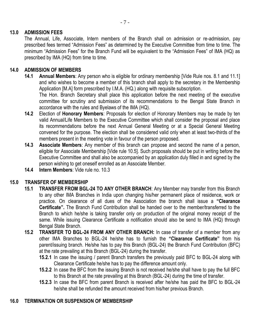#### **13.0 ADMISSION FEES**

The Annual, Life, Associate, Intern members of the Branch shall on admission or re-admission, pay prescribed fees termed "Admission Fees" as determined by the Executive Committee from time to time. The minimum "Admission Fees" for the Branch Fund will be equivalent to the "Admission Fees" of IMA (HQ) as prescribed by IMA (HQ) from time to time.

#### **14.0 ADMISSION OF MEMBERS**

**14.1 Annual Members**: Any person who is eligible for ordinary membership [Vide Rule nos. 8.1 and 11.1] and who wishes to become a member of this branch shall apply to the secretary in the Membership Application [M.A] form prescribed by I.M.A. (HQ.) along with requisite subscription.

The Hon. Branch Secretary shall place this application before the next meeting of the executive committee for scrutiny and submission of its recommendations to the Bengal State Branch in accordance with the rules and Byelaws of the IMA (HQ).

- **14.2** Election of **Honorary Members**: Proposals for election of Honorary Members may be made by ten valid Annual/Life Members to the Executive Committee which shall consider the proposal and place its recommendations before the next Annual General Meeting or at a Special General Meeting convened for the purpose. The election shall be considered valid only when at least two-thirds of the members present in the meeting vote in favour of the person proposed.
- **14.3 Associate Members**: Any member of this branch can propose and second the name of a person, eligible for Associate Membership [Vide rule 10.5]. Such proposals should be put in writing before the Executive Committee and shall also be accompanied by an application duly filled in and signed by the person wishing to get oneself enrolled as an Associate Member.
- **14.4 Intern Members**: Vide rule no. 10.3

#### **15.0 TRANSFER OF MEMBERSHIP**

- **15.1 TRANSFER FROM BGL-24 TO ANY OTHER BRANCH**: Any Member may transfer from this Branch to any other IMA Branches in India upon changing his/her permanent place of residence, work or practice. On clearance of all dues of the Association the branch shall issue a **"Clearance Certificate".** The Branch Fund Contribution shall be handed over to the member/transferred to the Branch to which he/she is taking transfer only on production of the original money receipt of the same. While issuing Clearance Certificate a notification should also be send to IMA (HQ) through Bengal State Branch.
- **15.2 TRANSFER TO BGL-24 FROM ANY OTHER BRANCH:** In case of transfer of a member from any other IMA Branches to BGL-24 he/she has to furnish the **"Clearance Certificate"** from his parent/issuing branch. He/she has to pay this Branch (BGL-24) the Branch Fund Contribution (BFC) at the rate prevailing at this Branch (BGL-24) during the transfer.
	- **15.2.1** In case the issuing / parent Branch transfers the previously paid BFC to BGL-24 along with Clearance Certificate he/she has to pay the difference amount only.
	- **15.2.2** In case the BFC from the issuing Branch is not received he/she shall have to pay the full BFC to this Branch at the rate prevailing at this Branch (BGL-24) during the time of transfer.
	- **15.2.3** In case the BFC from parent Branch is received after he/she has paid the BFC to BGL-24 he/she shall be refunded the amount received from his/her previous Branch.

#### **16.0 TERMINATION OR SUSPENSION OF MEMBERSHIP**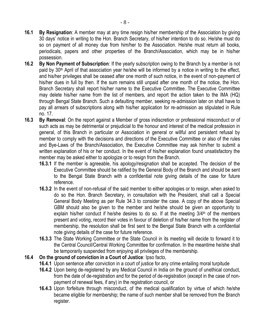- **16.1 By Resignation**: A member may at any time resign his/her membership of the Association by giving 30 days' notice in writing to the Hon. Branch Secretary, of his/her intention to do so. He/she must do so on payment of all money due from him/her to the Association. He/she must return all books, periodicals, papers and other properties of the Branch/Association, which may be in his/her possession.
- **16.2 By Non Payment of Subscription**: If the yearly subscription owing to the Branch by a member is not paid by 30<sup>th</sup> April of that association year he/she will be informed by a notice in writing to the effect, and his/her privileges shall be ceased after one month of such notice, in the event of non-payment of his/her dues in full by then. If the sum remains still unpaid after one month of the notice, the Hon. Branch Secretary shall report his/her name to the Executive Committee. The Executive Committee may delete his/her name from the list of members, and report the action taken to the IMA (HQ) through Bengal State Branch. Such a defaulting member, seeking re-admission later on shall have to pay all arrears of subscriptions along with his/her application for re-admission as stipulated in Rule no. 17.
- **16.3 By Removal**: On the report against a Member of gross indiscretion or professional misconduct or of such acts as may be detrimental or prejudicial to the honour and interest of the medical profession in general, of this Branch in particular or Association in general or willful and persistent refusal by member to comply with the decisions and directions of the Executive Committee or also of the rules and Bye-Laws of the Branch/Association, the Executive Committee may ask him/her to submit a written explanation of his or her conduct. In the event of his/her explanation found unsatisfactory the member may be asked either to apologize or to resign from the Branch.
	- **16.3.1** If the member is agreeable, his apology/resignation shall be accepted. The decision of the Executive Committee should be ratified by the General Body of the Branch and should be sent to the Bengal State Branch with a confidential note giving details of the case for future reference.
	- **16.3.2** In the event of non-refusal of the said member to either apologies or to resign, when asked to do so the Hon. Branch Secretary, in consultation with the President, shall call a Special General Body Meeting as per Rule 34.3 to consider the case. A copy of the above Special GBM should also be given to the member and he/she should be given an opportunity to explain his/her conduct if he/she desires to do so. If at the meeting  $3/4<sup>th</sup>$  of the members present and voting, record their votes in favour of deletion of his/her name from the register of membership, the resolution shall be first sent to the Bengal State Branch with a confidential note giving details of the case for future reference.
	- **16.3.3** The State Working Committee or the State Council in its meeting will decide to forward it to the Central Council/Central Working Committee for confirmation. In the meantime he/she shall be temporarily suspended from enjoying all privileges of the membership.
- **16.4 On the ground of conviction in a Court of Justice**: Ipso facto,
	- **16.4.1** Upon sentence after conviction in a court of justice for any crime entailing moral turpitude
	- **16.4.2** Upon being de-registered by any Medical Council in India on the ground of unethical conduct, from the date of de-registration and for the period of de-registration (except in the case of nonpayment of renewal fees, if any) in the registration council, or
	- **16.4.3** Upon forfeiture through misconduct, of the medical qualification by virtue of which he/she became eligible for membership; the name of such member shall be removed from the Branch register.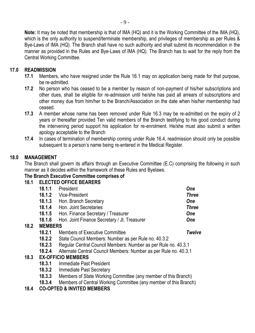**Note:** It may be noted that membership is that of IMA (HQ) and it is the Working Committee of the IMA (HQ), which is the only authority to suspend/terminate membership, and privileges of membership as per Rules & Bye-Laws of IMA (HQ). The Branch shall have no such authority and shall submit its recommendation in the manner as provided in the Rules and Bye-Laws of IMA (HQ). The Branch has to wait for the reply from the Central Working Committee.

#### **17.0 READMISSION**

- **17.1** Members, who have resigned under the Rule 16.1 may on application being made for that purpose, be re-admitted.
- **17.2** No person who has ceased to be a member by reason of non-payment of his/her subscriptions and other dues, shall be eligible for re-admission until he/she has paid all arrears of subscriptions and other money due from him/her to the Branch/Association on the date when his/her membership had ceased.
- **17.3** A member whose name has been removed under Rule 16.3 may be re-admitted on the expiry of 2 years or thereafter provided Ten valid members of the Branch testifying to his good conduct during the intervening period support his application for re-enrolment. He/she must also submit a written apology acceptable to the Branch
- **17.4** In cases of termination of membership coming under Rule 16.4, readmission should only be possible subsequent to a person's name being re-entered in the Medical Register.

#### **18.0 MANAGEMENT**

**18.2** 

**18.3** 

The Branch shall govern its affairs through an Executive Committee (E.C) comprising the following in such manner as it decides within the framework of these Rules and Byelaws.

#### **The Branch Executive Committee comprises of**

#### **18.1 ELECTED OFFICE BEARERS**

| President                                                                  | One                                                  |  |  |  |  |
|----------------------------------------------------------------------------|------------------------------------------------------|--|--|--|--|
| Vice-President                                                             | <b>Three</b>                                         |  |  |  |  |
| Hon. Branch Secretary                                                      | <b>One</b>                                           |  |  |  |  |
| Hon. Joint Secretaries                                                     | <b>Three</b>                                         |  |  |  |  |
| Hon. Finance Secretary / Treasurer                                         | <b>One</b>                                           |  |  |  |  |
| Hon. Joint Finance Secretary / Jt. Treasurer                               | <b>One</b>                                           |  |  |  |  |
| <b>MEMBERS</b>                                                             |                                                      |  |  |  |  |
| Members of Executive Committee                                             | Twelve                                               |  |  |  |  |
|                                                                            |                                                      |  |  |  |  |
| Regular Central Council Members: Number as per Rule no. 40.3.1             |                                                      |  |  |  |  |
| Alternate Central Council Members: Number as per Rule no. 40.3.1<br>18.2.4 |                                                      |  |  |  |  |
| <b>EX-OFFICIO MEMBERS</b>                                                  |                                                      |  |  |  |  |
|                                                                            | State Council Members: Number as per Rule no. 40.3.2 |  |  |  |  |

- **18.3.1** Immediate Past President
- **18.3.2** Immediate Past Secretary
- **18.3.3** Members of State Working Committee (any member of this Branch)
- **18.3.4** Members of Central Working Committee (any member of this Branch)

#### **18.4 CO-OPTED & INVITED MEMBERS**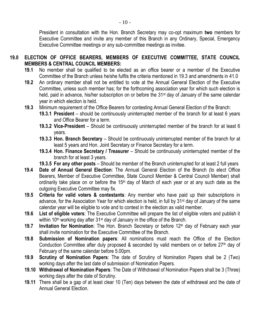President in consultation with the Hon. Branch Secretary may co-opt maximum **two** members for Executive Committee and invite any member of this Branch in any Ordinary, Special, Emergency Executive Committee meetings or any sub-committee meetings as invitee.

#### **19.0 ELECTION OF OFFICE BEARERS, MEMBERS OF EXECUTIVE COMMITTEE, STATE COUNCIL MEMBERS & CENTRAL COUNCIL MEMBERS:**

- **19.1** No member shall be qualified to be elected as an office bearer or a member of the Executive Committee of the Branch unless he/she fulfils the criteria mentioned in 19.3 and amendments in 41.0
- **19.2** An ordinary member shall not be entitled to vote at the Annual General Election of the Executive Committee, unless such member has; for the forthcoming association year for which such election is held, paid in advance, his/her subscription on or before the 31<sup>st</sup> day of January of the same calendar year in which election is held.
- **19.3** Minimum requirement of the Office Bearers for contesting Annual General Election of the Branch:
	- **19.3.1 President**  should be continuously uninterrupted member of the branch for at least 6 years and Office Bearer for a term.
	- **19.3.2 Vice-President** Should be continuously uninterrupted member of the branch for at least 6 years.
	- **19.3.3 Hon. Branch Secretary** Should be continuously uninterrupted member of the branch for at least 5 years and Hon. Joint Secretary or Finance Secretary for a term.
	- **19.3.4 Hon. Finance Secretary / Treasurer**  Should be continuously uninterrupted member of the branch for at least 3 years.
	- **19.3.5 For any other posts** Should be member of the Branch uninterrupted for at least 2 full years
- **19.4 Date of Annual General Election**: The Annual General Election of the Branch (to elect Office Bearers, Member of Executive Committee, State Council Member & Central Council Member) shall ordinarily take place on or before the 15<sup>th</sup> day of March of each year or at any such date as the outgoing Executive Committee may fix.
- **19.5 Criteria for valid voters & contestants**: Any member who have paid up their subscriptions in advance, for the Association Year for which election is held, in full by 31<sup>st</sup> day of January of the same calendar year will be eligible to vote and to contest in the election as valid member.
- **19.6 List of eligible voters**: The Executive Committee will prepare the list of eligible voters and publish it within 10<sup>th</sup> working day after 31<sup>st</sup> day of January in the office of the Branch.
- **19.7 Invitation for Nomination**: The Hon. Branch Secretary or before 12th day of February each year shall invite nomination for the Executive Committee of the Branch.
- **19.8 Submission of Nomination papers**: All nominations must reach the Office of the Election Conduction Committee after duly proposed & seconded by valid members on or before  $27<sup>th</sup>$  day of February of the same calendar before 5.00pm.
- **19.9 Scrutiny of Nomination Papers**: The date of Scrutiny of Nomination Papers shall be 2 (Two) working days after the last date of submission of Nomination Papers.
- **19.10 Withdrawal of Nomination Papers**: The Date of Withdrawal of Nomination Papers shall be 3 (Three) working days after the date of Scrutiny.
- **19.11** There shall be a gap of at least clear 10 (Ten) days between the date of withdrawal and the date of Annual General Election.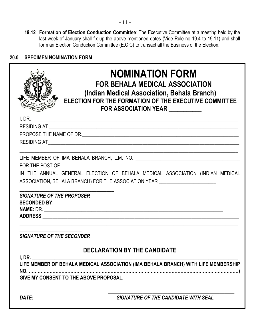**19.12 Formation of Election Conduction Committee**: The Executive Committee at a meeting held by the last week of January shall fix up the above-mentioned dates (Vide Rule no 19.4 to 19.11) and shall form an Election Conduction Committee (E.C.C) to transact all the Business of the Election.

### **20.0 SPECIMEN NOMINATION FORM**

|                                                         | <b>NOMINATION FORM</b><br><b>FOR BEHALA MEDICAL ASSOCIATION</b><br>(Indian Medical Association, Behala Branch)<br>ELECTION FOR THE FORMATION OF THE EXECUTIVE COMMITTEE<br>FOR ASSOCIATION YEAR |  |
|---------------------------------------------------------|-------------------------------------------------------------------------------------------------------------------------------------------------------------------------------------------------|--|
| I, DR.                                                  |                                                                                                                                                                                                 |  |
|                                                         |                                                                                                                                                                                                 |  |
|                                                         |                                                                                                                                                                                                 |  |
|                                                         |                                                                                                                                                                                                 |  |
|                                                         |                                                                                                                                                                                                 |  |
| FOR THE POST OF <u>___________________________</u>      | IN THE ANNUAL GENERAL ELECTION OF BEHALA MEDICAL ASSOCIATION (INDIAN MEDICAL                                                                                                                    |  |
|                                                         | ASSOCIATION, BEHALA BRANCH) FOR THE ASSOCIATION YEAR <b>ACCOMMUNIST ASSOCIATION</b>                                                                                                             |  |
| <b>SIGNATURE OF THE PROPOSER</b><br><b>SECONDED BY:</b> |                                                                                                                                                                                                 |  |
| <b>SIGNATURE OF THE SECONDER</b>                        |                                                                                                                                                                                                 |  |
| I, DR.                                                  | <b>DECLARATION BY THE CANDIDATE</b>                                                                                                                                                             |  |
|                                                         | LIFE MEMBER OF BEHALA MEDICAL ASSOCIATION (IMA BEHALA BRANCH) WITH LIFE MEMBERSHIP                                                                                                              |  |
| GIVE MY CONSENT TO THE ABOVE PROPOSAL.                  |                                                                                                                                                                                                 |  |
| DATE:                                                   | <b>SIGNATURE OF THE CANDIDATE WITH SEAL</b>                                                                                                                                                     |  |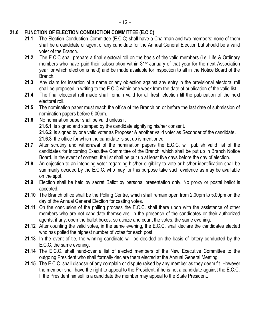#### **21.0 FUNCTION OF ELECTION CONDUCTION COMMITTEE (E.C.C)**

- 21.1 The Election Conduction Committee (E.C.C) shall have a Chairman and two members; none of them shall be a candidate or agent of any candidate for the Annual General Election but should be a valid voter of the Branch.
- **21.2** The E.C.C shall prepare a final electoral roll on the basis of the valid members (i.e. Life & Ordinary members who have paid their subscription within 31st January of that year for the next Association year for which election is held) and be made available for inspection to all in the Notice Board of the Branch.
- **21.3** Any claim for insertion of a name or any objection against any entry in the provisional electoral roll shall be proposed in writing to the E.C.C within one week from the date of publication of the valid list.
- **21.4** The final electoral roll made shall remain valid for all fresh election till the publication of the next electoral roll.
- **21.5** The nomination paper must reach the office of the Branch on or before the last date of submission of nomination papers before 5.00pm.
- **21.6** No nomination paper shall be valid unless it

**21.6.1** is signed and stamped by the candidate signifying his/her consent.

**21.6.2** is signed by one valid voter as Proposer & another valid voter as Seconder of the candidate. **21.6.3** the office for which the candidate is set up is mentioned.

- **21.7** After scrutiny and withdrawal of the nomination papers the E.C.C. will publish valid list of the candidates for incoming Executive Committee of the Branch, which shall be put up in Branch Notice Board. In the event of contest, the list shall be put up at least five days before the day of election.
- **21.8** An objection to an intending voter regarding his/her eligibility to vote or his/her identification shall be summarily decided by the E.C.C. who may for this purpose take such evidence as may be available on the spot.
- **21.9** Election shall be held by secret Ballot by personal presentation only. No proxy or postal ballot is accepted.
- **21.10** The Branch office shall be the Polling Centre, which shall remain open from 2.00pm to 5.00pm on the day of the Annual General Election for casting votes.
- 21.11 On the conclusion of the polling process the E.C.C. shall there upon with the assistance of other members who are not candidate themselves, in the presence of the candidates or their authorized agents, if any, open the ballot boxes, scrutinize and count the votes, the same evening.
- **21.12** After counting the valid votes, in the same evening, the E.C.C. shall declare the candidates elected who has polled the highest number of votes for each post.
- **21.13** In the event of tie, the winning candidate will be decided on the basis of lottery conducted by the E.C.C, the same evening.
- **21.14** The E.C.C. shall hand-over a list of elected members of the New Executive Committee to the outgoing President who shall formally declare them elected at the Annual General Meeting.
- **21.15** The E.C.C. shall dispose of any complain or dispute raised by any member as they deem fit. However the member shall have the right to appeal to the President, if he is not a candidate against the E.C.C. If the President himself is a candidate the member may appeal to the State President.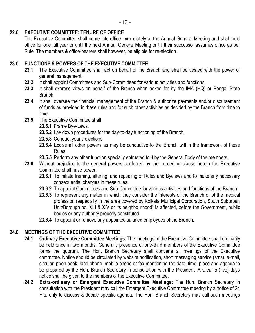#### **22.0 EXECUTIVE COMMITTEE: TENURE OF OFFICE**

The Executive Committee shall come into office immediately at the Annual General Meeting and shall hold office for one full year or until the next Annual General Meeting or till their successor assumes office as per Rule. The members & office-bearers shall however, be eligible for re-election.

#### **23.0 FUNCTIONS & POWERS OF THE EXECUTIVE COMMITTEE**

- **23.1** The Executive Committee shall act on behalf of the Branch and shall be vested with the power of general management.
- **23.2** It shall appoint Committees and Sub-Committees for various activities and functions.
- **23.3** It shall express views on behalf of the Branch when asked for by the IMA (HQ) or Bengal State Branch.
- **23.4** It shall oversee the financial management of the Branch & authorize payments and/or disbursement of funds as provided in these rules and for such other activities as decided by the Branch from time to time.
- 23.5 The Executive Committee shall
	- **23.5.1** Frame Bye-Laws.
	- **23.5.2** Lay down procedures for the day-to-day functioning of the Branch.
	- **23.5.3** Conduct yearly elections
	- **23.5.4** Excise all other powers as may be conductive to the Branch within the framework of these Rules.
	- **23.5.5** Perform any other function specially entrusted to it by the General Body of the members.
- **23.6** Without prejudice to the general powers conferred by the preceding clause herein the Executive Committee shall have power:
	- **23.6.1** To initiate framing, altering, and repealing of Rules and Byelaws and to make any necessary consequential changes in these rules.
	- **23.6.2** To appoint Committees and Sub-Committee for various activities and functions of the Branch
	- **23.6.3** To represent any matter in which they consider the interests of the Branch or of the medical profession (especially in the area covered by Kolkata Municipal Corporation, South Suburban Unit/Borough no. XIII & XIV or its neighbourhood) is affected, before the Government, public bodies or any authority properly constituted.
	- **23.6.4** To appoint or remove any appointed salaried employees of the Branch.

#### **24.0 MEETINGS OF THE EXECUTIVE COMMITTEE**

- **24.1 Ordinary Executive Committee Meetings**: The meetings of the Executive Committee shall ordinarily be held once in two months. Generally presence of one-third members of the Executive Committee forms the quorum. The Hon. Branch Secretary shall convene all meetings of the Executive committee. Notice should be circulated by website notification, short messaging service (sms), e-mail, circular, peon book, land phone, mobile phone or fax mentioning the date, time, place and agenda to be prepared by the Hon. Branch Secretary in consultation with the President. A Clear 5 (five) days notice shall be given to the members of the Executive Committee.
- **24.2 Extra-ordinary or Emergent Executive Committee Meetings**: The Hon. Branch Secretary in consultation with the President may call the Emergent Executive Committee meeting by a notice of 24 Hrs. only to discuss & decide specific agenda. The Hon. Branch Secretary may call such meetings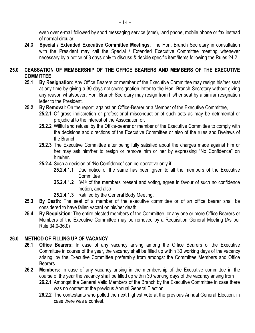even over e-mail followed by short messaging service (sms), land phone, mobile phone or fax instead of normal circular.

**24.3 Special / Extended Executive Committee Meetings**: The Hon. Branch Secretary in consultation with the President may call the Special / Extended Executive Committee meeting whenever necessary by a notice of 3 days only to discuss & decide specific item/items following the Rules 24.2

#### **25.0 CEASSATION OF MEMBERSHIP OF THE OFFICE BEARERS AND MEMBERS OF THE EXECUTIVE COMMITTEE**

- **25.1 By Resignation**: Any Office Bearers or member of the Executive Committee may resign his/her seat at any time by giving a 30 days notice/resignation letter to the Hon. Branch Secretary without giving any reason whatsoever. Hon. Branch Secretary may resign from his/her seat by a similar resignation letter to the President.
- **25.2 By Removal**: On the report, against an Office-Bearer or a Member of the Executive Committee,
	- **25.2.1** Of gross indiscretion or professional misconduct or of such acts as may be detrimental or prejudicial to the interest of the Association or,
	- **25.2.2** Willful and refusal by the Office-bearer or member of the Executive Committee to comply with the decisions and directions of the Executive Committee or also of the rules and Byelaws of the Branch.
	- **25.2.3** The Executive Committee after being fully satisfied about the charges made against him or her may ask him/her to resign or remove him or her by expressing "No Confidence" on him/her.
	- **25.2.4** Such a decision of "No Confidence" can be operative only if
		- **25.2.4.1.1** Due notice of the same has been given to all the members of the Executive **Committee**
		- 25.2.4.1.2 3/4<sup>th</sup> of the members present and voting, agree in favour of such no confidence motion, and also
		- **25.2.4.1.3** Ratified by the General Body Meeting.
- **25.3 By Death**: The seat of a member of the executive committee or of an office bearer shall be considered to have fallen vacant on his/her death.
- **25.4 By Requisition**: The entire elected members of the Committee, or any one or more Office Bearers or Members of the Executive Committee may be removed by a Requisition General Meeting (As per Rule 34.0-36.0)

#### **26.0 METHOD OF FILLING UP OF VACANCY**

- **26.1 Office Bearers:** In case of any vacancy arising among the Office Bearers of the Executive Committee in course of the year, the vacancy shall be filled up within 30 working days of the vacancy arising, by the Executive Committee preferably from amongst the Committee Members and Office Bearers.
- **26.2 Members:** In case of any vacancy arising in the membership of the Executive committee in the course of the year the vacancy shall be filled up within 30 working days of the vacancy arising from
	- **26.2.1** Amongst the General Valid Members of the Branch by the Executive Committee in case there was no contest at the previous Annual General Election.
	- **26.2.2** The contestants who polled the next highest vote at the previous Annual General Election, in case there was a contest.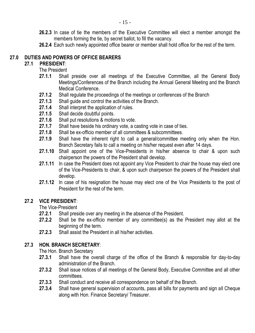- **26.2.3** In case of tie the members of the Executive Committee will elect a member amongst the members forming the tie, by secret ballot, to fill the vacancy.
- **26.2.4** Each such newly appointed office bearer or member shall hold office for the rest of the term.

#### **27.0 DUTIES AND POWERS OF OFFICE BEARERS**

#### **27.1 PRESIDENT**:

The President

- **27.1.1** Shall preside over all meetings of the Executive Committee, all the General Body Meetings/Conferences of the Branch including the Annual General Meeting and the Branch Medical Conference.
- **27.1.2** Shall regulate the proceedings of the meetings or conferences of the Branch
- **27.1.3** Shall guide and control the activities of the Branch.
- **27.1.4** Shall interpret the application of rules.
- **27.1.5** Shall decide doubtful points.
- **27.1.6** Shall put resolutions & motions to vote.
- **27.1.7** Shall have beside his ordinary vote, a casting vote in case of ties.
- **27.1.8** Shall be ex-officio member of all committees & subcommittees.
- **27.1.9** Shall have the inherent right to call a general/committee meeting only when the Hon. Branch Secretary fails to call a meeting on his/her request even after 14 days.
- **27.1.10** Shall appoint one of the Vice-Presidents in his/her absence to chair & upon such chairperson the powers of the President shall develop.
- **27.1.11** In case the President does not appoint any Vice President to chair the house may elect one of the Vice-Presidents to chair, & upon such chairperson the powers of the President shall develop.
- **27.1.12** In case of his resignation the house may elect one of the Vice Presidents to the post of President for the rest of the term.

#### **27.2 VICE PRESIDENT**:

The Vice-President

- **27.2.1** Shall preside over any meeting in the absence of the President.
- **27.2.2** Shall be the ex-officio member of any committee(s) as the President may allot at the beginning of the term.
- **27.2.3** Shall assist the President in all his/her activities.

#### **27.3 HON. BRANCH SECRETARY**:

The Hon. Branch Secretary

- **27.3.1** Shall have the overall charge of the office of the Branch & responsible for day-to-day administration of the Branch.
- **27.3.2** Shall issue notices of all meetings of the General Body, Executive Committee and all other committees.
- **27.3.3** Shall conduct and receive all correspondence on behalf of the Branch.
- **27.3.4** Shall have general supervision of accounts, pass all bills for payments and sign all Cheque along with Hon. Finance Secretary/ Treasurer.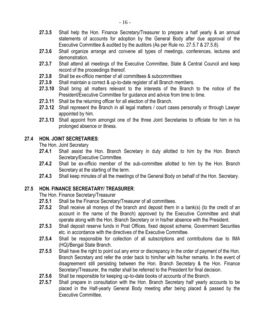- **27.3.5** Shall help the Hon. Finance Secretary/Treasurer to prepare a half yearly & an annual statements of accounts for adoption by the General Body after due approval of the Executive Committee & audited by the auditors (As per Rule no. 27.5.7 & 27.5.8).
- **27.3.6** Shall organize arrange and convene all types of meetings, conferences, lectures and demonstration.
- **27.3.7** Shall attend all meetings of the Executive Committee, State & Central Council and keep record of the proceedings thereof.
- **27.3.8** Shall be ex-officio member of all committees & subcommittees
- **27.3.9** Shall maintain a correct & up-to-date register of all Branch members.
- **27.3.10** Shall bring all matters relevant to the interests of the Branch to the notice of the President/Executive Committee for guidance and advice from time to time.
- **27.3.11** Shall be the returning officer for all election of the Branch.
- **27.3.12** Shall represent the Branch in all legal matters / court cases personally or through Lawyer appointed by him.
- **27.3.13** Shall appoint from amongst one of the three Joint Secretaries to officiate for him in his prolonged absence or illness.

#### **27.4 HON. JOINT SECRETARIES**:

The Hon. Joint Secretary

- **27.4.1** Shall assist the Hon. Branch Secretary in duty allotted to him by the Hon. Branch Secretary/Executive Committee.
- **27.4.2** Shall be ex-officio member of the sub-committee allotted to him by the Hon. Branch Secretary at the starting of the term.
- **27.4.3** Shall keep minutes of all the meetings of the General Body on behalf of the Hon. Secretary.

#### **27.5 HON. FINANCE SECREATARY/ TREASURER**:

The Hon. Finance Secretary/Treasurer

- **27.5.1** Shall be the Finance Secretary/Treasurer of all committees.
- **27.5.2** Shall receive all moneys of the branch and deposit them in a bank(s) (to the credit of an account in the name of the Branch) approved by the Executive Committee and shall operate along with the Hon. Branch Secretary or in his/her absence with the President.
- **27.5.3** Shall deposit reserve funds in Post Offices, fixed deposit scheme, Government Securities etc. in accordance with the directives of the Executive Committee.
- **27.5.4** Shall be responsible for collection of all subscriptions and contributions due to IMA (HQ)/Bengal State Branch.
- **27.5.5** Shall have the right to point out any error or discrepancy in the order of payment of the Hon. Branch Secretary and refer the order back to him/her with his/her remarks. In the event of disagreement still persisting between the Hon. Branch Secretary & the Hon. Finance Secretary/Treasurer, the matter shall be referred to the President for final decision.
- **27.5.6** Shall be responsible for keeping up-to-date books of accounts of the Branch.
- **27.5.7** Shall prepare in consultation with the Hon. Branch Secretary half yearly accounts to be placed in the Half-yearly General Body meeting after being placed & passed by the Executive Committee.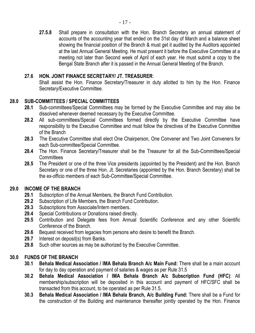**27.5.8** Shall prepare in consultation with the Hon. Branch Secretary an annual statement of accounts of the accounting year that ended on the 31st day of March and a balance sheet showing the financial position of the Branch & must get it audited by the Auditors appointed at the last Annual General Meeting. He must present it before the Executive Committee at a meeting not later than Second week of April of each year. He must submit a copy to the Bengal State Branch after it is passed in the Annual General Meeting of the Branch.

#### **27.6 HON. JOINT FINANCE SECRETARY/ JT. TREASURER**:

Shall assist the Hon. Finance Secretary/Treasurer in duty allotted to him by the Hon. Finance Secretary/Executive Committee.

#### **28.0 SUB-COMMITTEES / SPECIAL COMMITTEES**

- **28.1** Sub-committees/Special Committees may be formed by the Executive Committee and may also be dissolved whenever deemed necessary by the Executive Committee.
- 28.2 All sub-committees/Special Committees formed directly by the Executive Committee have responsibility to the Executive Committee and must follow the directives of the Executive Committee of the Branch
- **28.3** The Executive Committee shall elect One Chairperson, One Convener and Two Joint Conveners for each Sub-committee/Special Committee.
- **28.4** The Hon. Finance Secretary/Treasurer shall be the Treasurer for all the Sub-Committees/Special **Committees**
- **28.5** The President or one of the three Vice presidents (appointed by the President) and the Hon. Branch Secretary or one of the three Hon. Jt. Secretaries (appointed by the Hon. Branch Secretary) shall be the ex-officio members of each Sub-Committee/Special Committee.

#### **29.0 INCOME OF THE BRANCH**

- **29.1** Subscription of the Annual Members, the Branch Fund Contribution.
- **29.2** Subscription of Life Members, the Branch Fund Contribution.
- **29.3** Subscriptions from Associate/Intern members.
- **29.4** Special Contributions or Donations raised directly.
- **29.5** Contribution and Delegate fees from Annual Scientific Conference and any other Scientific Conference of the Branch.
- **29.6** Bequest received from legacies from persons who desire to benefit the Branch.
- **29.7** Interest on deposit(s) from Banks.
- **29.8** Such other sources as may be authorized by the Executive Committee.

#### **30.0 FUNDS OF THE BRANCH**

- **30.1 Behala Medical Association / IMA Behala Branch A/c Main Fund:** There shall be a main account for day to day operation and payment of salaries & wages as per Rule 31.5
- **30.2 Behala Medical Association / IMA Behala Branch A/c Subscription Fund (HFC)**: All membership/subscription will be deposited in this account and payment of HFC/SFC shall be transacted from this account, to be operated as per Rule 31.5.
- **30.3 Behala Medical Association / IMA Behala Branch, A/c Building Fund:** There shall be a Fund for the construction of the Building and maintenance thereafter jointly operated by the Hon. Finance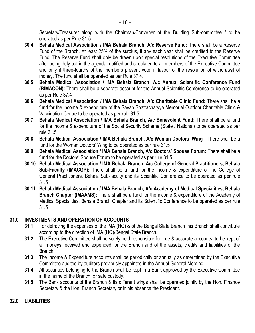Secretary/Treasurer along with the Chairman/Convener of the Building Sub-committee / to be operated as per Rule 31.5.

- **30.4 Behala Medical Association / IMA Behala Branch, A/c Reserve Fund:** There shall be a Reserve Fund of the Branch. At least 25% of the surplus, if any each year shall be credited to the Reserve Fund. The Reserve Fund shall only be drawn upon special resolutions of the Executive Committee after being duly put in the agenda, notified and circulated to all members of the Executive Committee and only if three-fourths of the members present vote in favour of the resolution of withdrawal of money. The fund shall be operated as per Rule 37.4.
- **30.5 Behala Medical Association / IMA Behala Branch, A/c Annual Scientific Conference Fund (BIMACON):** There shall be a separate account for the Annual Scientific Conference to be operated as per Rule 37.4
- **30.6 Behala Medical Association / IMA Behala Branch, A/c Charitable Clinic Fund:** There shall be a fund for the income & expenditure of the Sayan Bhattacharyya Memorial Outdoor Charitable Clinic & Vaccination Centre to be operated as per rule 31.5
- **30.7 Behala Medical Association / IMA Behala Branch, A/c Benevolent Fund:** There shall be a fund for the income & expenditure of the Social Security Scheme (State / National) to be operated as per rule 31.5
- **30.8 Behala Medical Association / IMA Behala Branch, A/c Woman Doctors' Wing :** There shall be a fund for the Woman Doctors' Wing to be operated as per rule 31.5
- **30.9 Behala Medical Association / IMA Behala Branch, A/c Doctors' Spouse Forum:** There shall be a fund for the Doctors' Spouse Forum to be operated as per rule 31.5
- **30.10 Behala Medical Association / IMA Behala Branch, A/c College of General Practitioners, Behala Sub-Faculty (IMACGP):** There shall be a fund for the income & expenditure of the College of General Practitioners, Behala Sub-faculty and its Scientific Conference to be operated as per rule 31.5
- **30.11 Behala Medical Association / IMA Behala Branch, A/c Academy of Medical Specialities, Behala Branch Chapter (IMAAMS):** There shall be a fund for the income & expenditure of the Academy of Medical Specialities, Behala Branch Chapter and its Scientific Conference to be operated as per rule 31.5

#### **31.0 INVESTMENTS AND OPERATION OF ACCOUNTS**

- **31.1** For defraying the expenses of the IMA (HQ) & of the Bengal State Branch this Branch shall contribute according to the direction of IMA (HQ)/Bengal State Branch.
- **31.2** The Executive Committee shall be solely held responsible for true & accurate accounts, to be kept of all moneys received and expended for the Branch and of the assets, credits and liabilities of the Branch.
- **31.3** The Income & Expenditure accounts shall be periodically or annually as determined by the Executive Committee audited by auditors previously appointed in the Annual General Meeting.
- **31.4** All securities belonging to the Branch shall be kept in a Bank approved by the Executive Committee in the name of the Branch for safe custody.
- **31.5** The Bank accounts of the Branch & its different wings shall be operated jointly by the Hon. Finance Secretary & the Hon. Branch Secretary or in his absence the President.

#### **32.0 LIABILITIES**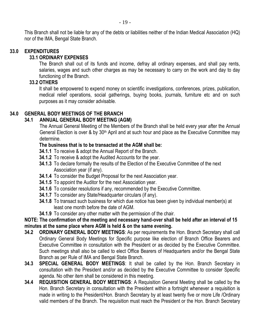This Branch shall not be liable for any of the debts or liabilities neither of the Indian Medical Association (HQ) nor of the IMA, Bengal State Branch.

#### **33.0 EXPENDITURES**

#### **33.1 ORDINARY EXPENSES**

The Branch shall out of its funds and income, defray all ordinary expenses, and shall pay rents, salaries, wages and such other charges as may be necessary to carry on the work and day to day functioning of the Branch.

#### **33.2 OTHERS**

It shall be empowered to expend money on scientific investigations, conferences, prizes, publication, medical relief operations, social gatherings, buying books, journals, furniture etc and on such purposes as it may consider advisable.

#### **34.0 GENERAL BODY MEETINGS OF THE BRANCH**

#### **34.1 ANNUAL GENERAL BODY MEETING (AGM)**

The Annual General Meeting of the Members of the Branch shall be held every year after the Annual General Election is over & by 30<sup>th</sup> April and at such hour and place as the Executive Committee may determine.

#### **The business that is to be transacted at the AGM shall be:**

- **34.1.1** To receive & adopt the Annual Report of the Branch.
- **34.1.2** To receive & adopt the Audited Accounts for the year.
- **34.1.3** To declare formally the results of the Election of the Executive Committee of the next Association year (if any).
- **34.1.4** To consider the Budget Proposal for the next Association year.
- **34.1.5** To appoint the Auditor for the next Association year.
- **34.1.6** To consider resolutions if any, recommended by the Executive Committee.
- **34.1.7** To consider any State/Headquarter circulars (if any).
- **34.1.8** To transact such business for which due notice has been given by individual member(s) at least one month before the date of AGM.
- **34.1.9** To consider any other matter with the permission of the chair.

#### **NOTE: The confirmation of the meeting and necessary hand-over shall be held after an interval of 15 minutes at the same place where AGM is held & on the same evening.**

- **34.2 ORDINARY GENERAL BODY MEETINGS**: As per requirements the Hon. Branch Secretary shall call Ordinary General Body Meetings for Specific purpose like election of Branch Office Bearers and Executive Committee in consultation with the President or as decided by the Executive Committee. Such meetings shall also be called to elect Office Bearers of Headquarters and/or the Bengal State Branch as per Rule of IMA and Bengal State Branch.
- **34.3 SPECIAL GENERAL BODY MEETINGS**: It shall be called by the Hon. Branch Secretary in consultation with the President and/or as decided by the Executive Committee to consider Specific agenda. No other item shall be considered in this meeting.
- **34.4 REQUISITION GENERAL BODY MEETINGS**: A Requisition General Meeting shall be called by the Hon. Branch Secretary in consultation with the President within a fortnight whenever a requisition is made in writing to the President/Hon. Branch Secretary by at least twenty five or more Life /Ordinary valid members of the Branch. The requisition must reach the President or the Hon. Branch Secretary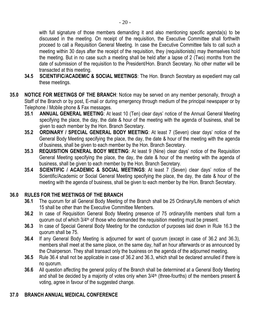with full signature of those members demanding it and also mentioning specific agenda(s) to be discussed in the meeting. On receipt of the requisition, the Executive Committee shall forthwith proceed to call a Requisition General Meeting. In case the Executive Committee fails to call such a meeting within 30 days after the receipt of the requisition, they (requisitionists) may themselves hold the meeting. But in no case such a meeting shall be held after a lapse of 2 (Two) months from the date of submission of the requisition to the President/Hon. Branch Secretary. No other matter will be transacted at this meeting.

- **34.5 SCIENTIFIC/ACADEMIC & SOCIAL MEETINGS**: The Hon. Branch Secretary as expedient may call these meetings.
- **35.0 NOTICE FOR MEETINGS OF THE BRANCH**: Notice may be served on any member personally, through a Staff of the Branch or by post, E-mail or during emergency through medium of the principal newspaper or by Telephone / Mobile phone & Fax messages.
	- **35.1 ANNUAL GENERAL MEETING**: At least 10 (Ten) clear days' notice of the Annual General Meeting specifying the place, the day, the date & hour of the meeting with the agenda of business, shall be given to each member by the Hon. Branch Secretary.
	- **35.2 ORDINARY / SPECIAL GENERAL BODY MEETING**: At least 7 (Seven) clear days' notice of the General Body Meeting specifying the place, the day, the date & hour of the meeting with the agenda of business, shall be given to each member by the Hon. Branch Secretary.
	- **35.3 REQUISITION GENERAL BODY MEETING**: At least 9 (Nine) clear days' notice of the Requisition General Meeting specifying the place, the day, the date & hour of the meeting with the agenda of business, shall be given to each member by the Hon. Branch Secretary.
	- **35.4 SCIENTIFIC / ACADEMIC & SOCIAL MEETINGS**: At least 7 (Seven) clear days' notice of the Scientific/Academic or Social General Meeting specifying the place, the day, the date & hour of the meeting with the agenda of business, shall be given to each member by the Hon. Branch Secretary.

#### **36.0 RULES FOR THE MEETINGS OF THE BRANCH**

- **36.1** The quorum for all General Body Meeting of the Branch shall be 25 Ordinary/Life members of which 15 shall be other than the Executive Committee Members.
- **36.2** In case of Requisition General Body Meeting presence of 75 ordinary/life members shall form a quorum out of which  $3/4<sup>th</sup>$  of those who demanded the requisition meeting must be present.
- **36.3** In case of Special General Body Meeting for the conduction of purposes laid down in Rule 16.3 the quorum shall be 75.
- **36.4** If any General Body Meeting is adjourned for want of quorum (except in case of 36.2 and 36.3), members shall meet at the same place, on the same day, half an hour afterwards or as announced by the Chairperson. They shall transact only the business on the agenda of the adjourned meeting.
- **36.5** Rule 36.4 shall not be applicable in case of 36.2 and 36.3, which shall be declared annulled if there is no quorum.
- **36.6** All question affecting the general policy of the Branch shall be determined at a General Body Meeting and shall be decided by a majority of votes only when  $3/4$ <sup>th</sup> (three-fourths) of the members present  $\&$ voting, agree in favour of the suggested change.

#### **37.0 BRANCH ANNUAL MEDICAL CONFERENCE**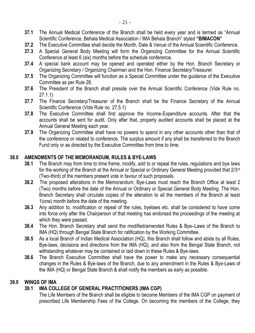- **37.1** The Annual Medical Conference of the Branch shall be held every year and is termed as "Annual Scientific Conference, Behala Medical Association / IMA Behala Branch" styled **"BIMACON"**
- **37.2** The Executive Committee shall decide the Month, Date & Venue of the Annual Scientific Conference.
- **37.3** A Special General Body Meeting will form the Organizing Committee for the Annual Scientific Conference at least 6 (six) months before the schedule conference.
- **37.4** A special bank account may be opened and operated either by the Hon. Branch Secretary or Organizing Secretary / Organizing Chairman and the Hon. Finance Secretary/Treasurer.
- **37.5** The Organizing Committee will function as a Special Committee under the guidance of the Executive Committee as per Rule 28.
- **37.6** The President of the Branch shall preside over the Annual Scientific Conference (Vide Rule no. 27.1.1)
- **37.7** The Finance Secretary/Treasurer of the Branch shall be the Finance Secretary of the Annual Scientific Conference (Vide Rule no. 27.5.1)
- **37.8** The Executive Committee shall first approve the Income-Expenditure accounts. After that the accounts shall be sent for audit. Only after that, properly audited accounts shall be placed at the Annual General Meeting each year.
- **37.9** The Organizing Committee shall have no powers to spend in any other accounts other than that of the conference or related to conference. The surplus amount if any shall be transferred to the Branch Fund only or as directed by the Executive Committee from time to time.

#### **38.0 AMENDMENTS OF THE MEMORANDUM, RULES & BYE-LAWS**

- **38.1** The Branch may from time to time frame, modify, add to or repeal the rules, regulations and bye laws for the working of the Branch at the Annual or Special or Ordinary General Meeting provided that 2/3rd (Two-third) of the members present vote in favour of such proposals.
- **38.2** The proposed alterations in the Memorandum, Bye-Laws must reach the Branch Office at least 2 (Two) months before the date of the Annual or Ordinary or Special General Body Meeting. The Hon. Branch Secretary shall circulate copies of the alteration to all the members of the Branch at least 1(one) month before the date of the meeting.
- **38.3** Any addition to, modification or repeal of the rules, byelaws etc. shall be considered to have come into force only after the Chairperson of that meeting has endorsed the proceedings of the meeting at which they were passed.
- **38.4** The Hon. Branch Secretary shall send the modified/amended Rules & Bye–Laws of the Branch to IMA (HQ) through Bengal State Branch for ratification by the Working Committee.
- **38.5** As a local Branch of Indian Medical Association (HQ), this Branch shall follow and abide by all Rules, Bye-laws, decisions and directions from the IMA (HQ), and also from the Bengal State Branch, not withstanding whatever may be contained or laid down in these Rules & Bye-laws.
- **38.6** The Branch Executive Committee shall have the power to make any necessary consequential changes in the Rules & Bye-laws of the Branch, due to any amendment in the Rules & Bye-Laws of the IMA (HQ) or Bengal State Branch & shall notify the members as early as possible.

#### **39.0 WINGS OF IMA**

#### **39.1 IMA COLLEGE OF GENERAL PRACTITIONERS (IMA CGP)**

The Life Members of the Branch shall be eligible to become Members of the IMA CGP on payment of prescribed Life Membership Fees of the College. On becoming the members of the College, they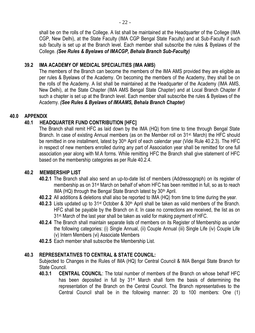shall be on the rolls of the College. A list shall be maintained at the Headquarter of the College (IMA CGP, New Delhi), at the State Faculty (IMA CGP Bengal State Faculty) and at Sub-Faculty if such sub faculty is set up at the Branch level. Each member shall subscribe the rules & Byelaws of the College. *(See Rules & Byelaws of IMACGP, Behala Branch Sub-Faculty)*

#### **39.2 IMA ACADEMY OF MEDICAL SPECIALITIES (IMA AMS)**

The members of the Branch can become the members of the IMA AMS provided they are eligible as per rules & Byelaws of the Academy. On becoming the members of the Academy, they shall be on the rolls of the Academy. A list shall be maintained at the Headquarter of the Academy (IMA AMS, New Delhi), at the State Chapter (IMA AMS Bengal State Chapter) and at Local Branch Chapter if such a chapter is set up at the Branch level. Each member shall subscribe the rules & Byelaws of the Academy. *(See Rules & Byelaws of IMAAMS, Behala Branch Chapter)*

#### **40.0 APPENDIX**

#### **40.1 HEADQUARTER FUND CONTRIBUTION [HFC]**

The Branch shall remit HFC as laid down by the IMA (HQ) from time to time through Bengal State Branch. In case of existing Annual members (as on the Member roll on 31st. March) the HFC should be remitted in one installment, latest by 30<sup>th</sup> April of each calendar year (Vide Rule 40.2.3). The HFC in respect of new members enrolled during any part of Association year shall be remitted for one full association year along with M.A forms. While remitting HFC the Branch shall give statement of HFC based on the membership categories as per Rule 40.2.4.

#### **40.2 MEMBERSHIP LIST**

- **40.2.1** The Branch shall also send an up-to-date list of members (Addressograph) on its register of membership as on 31st March on behalf of whom HFC has been remitted in full, so as to reach IMA (HQ) through the Bengal State Branch latest by 30<sup>th</sup> April.
- **40.2.2** All additions & deletions shall also be reported to IMA (HQ) from time to time during the year.
- 40.2.3 Lists updated up to 31<sup>st</sup> October & 30<sup>th</sup> April shall be taken as valid members of the Branch. HFC shall be payable by the Branch on it. In case no corrections are received, the list as on 31st. March of the last year shall be taken as valid for making payment of HFC.
- **40.2.4** The Branch shall maintain separate lists of members on its Register of Membership as under the following categories: (i) Single Annual, (ii) Couple Annual (iii) Single Life (iv) Couple Life (v) Intern Members (vi) Associate Members
- **40.2.5** Each member shall subscribe the Membership List.

#### **40.3 REPRESENTATIVES TO CENTRAL & STATE COUNCIL:**

Subjected to Changes in the Rules of IMA (HQ) for Central Council & IMA Bengal State Branch for State Council.

**40.3.1 CENTRAL COUNCIL**: The total number of members of the Branch on whose behalf HFC has been deposited in full by 31<sup>st</sup> March shall form the basis of determining the representation of the Branch on the Central Council. The Branch representatives to the Central Council shall be in the following manner: 20 to 100 members: One (1)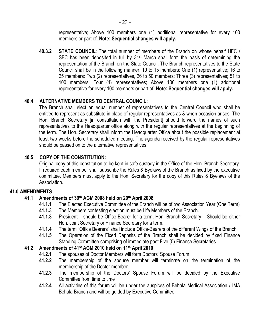representative; Above 100 members one (1) additional representative for every 100 members or part of. **Note: Sequential changes will apply.**

**40.3.2 STATE COUNCIL**: The total number of members of the Branch on whose behalf HFC / SFC has been deposited in full by 31<sup>st</sup> March shall form the basis of determining the representation of the Branch on the State Council. The Branch representatives to the State Council shall be in the following manner: 10 to 15 members: One (1) representative; 16 to 25 members: Two (2) representatives, 26 to 50 members: Three (3) representatives; 51 to 100 members: Four (4) representatives; Above 100 members one (1) additional representative for every 100 members or part of. **Note: Sequential changes will apply.**

#### **40.4 ALTERNATIVE MEMBERS TO CENTRAL COUNCIL:**

The Branch shall elect an equal number of representatives to the Central Council who shall be entitled to represent as substitute in place of regular representatives as & when occasion arises. The Hon. Branch Secretary [in consultation with the President] should forward the names of such representatives to the Headquarter office along with the regular representatives at the beginning of the term. The Hon. Secretary shall inform the Headquarter Office about the possible replacement at least two weeks before the scheduled meeting. The agenda received by the regular representatives should be passed on to the alternative representatives.

#### **40.5 COPY OF THE CONSTITUTION:**

Original copy of this constitution to be kept in safe custody in the Office of the Hon. Branch Secretary. If required each member shall subscribe the Rules & Byelaws of the Branch as fixed by the executive committee. Members must apply to the Hon. Secretary for the copy of this Rules & Byelaws of the Association.

#### **41.0 AMENDMENTS**

#### **41.1 Amendments of 39th AGM 2008 held on 20th April 2008**

- **41.1.1** The Elected Executive Committee of the Branch will be of two Association Year (One Term)
- **41.1.3** The Members contesting election must be Life Members of the Branch.
- **41.1.3** President should be Office-Bearer for a term, Hon. Branch Secretary Should be either Hon. Joint Secretary or Finance Secretary for a term.
- **41.1.4** The term "Office Bearers" shall include Office-Bearers of the different Wings of the Branch
- **41.1.5** The Operation of the Fixed Deposits of the Branch shall be decided by fixed Finance Standing Committee comprising of immediate past Five (5) Finance Secretaries.

#### **41.2 Amendments of 41st AGM 2010 held on 11th April 2010**

- **41.2.1** The spouses of Doctor Members will form Doctors' Spouse Forum
- **41.2.2** The membership of the spouse member will terminate on the termination of the membership of the Doctor member.
- **41.2.3** The membership of the Doctors' Spouse Forum will be decided by the Executive Committee from time to time
- **41.2.4** All activities of this forum will be under the auspices of Behala Medical Association / IMA Behala Branch and will be guided by Executive Committee.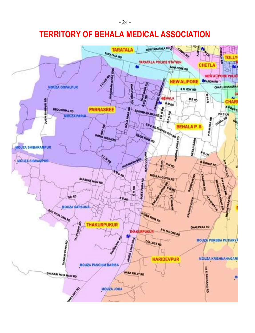- 24 -

## **TERRITORY OF BEHALA MEDICAL ASSOCIATION**

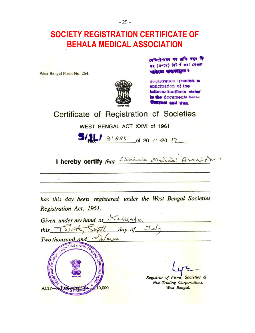- 25 -

### **SOCIETY REGISTRATION CERTIFICATE OF BEHALA MEDICAL ASSOCIATION**

West Bengal Form No. 264.

÷



राजिरहेनत्वत गर अधि पहन मि गर (नगरम) विकार्य क्या अख्ला **EAST SHEATERS** 

*<u>AUGUSTRIION</u>* **Granted is** anticipation of the information/facts stated in the documents better Test and trun

Certificate of Registration of Societies

WEST BENGAL ACT XXVI of 1961

 $3/11$  81885 of 20 4 -20 12

I hereby certify that Behala Medical Amora

has this day been registered under the West Bengal Societies Registration Act, 1961.

| Given under my hand at                |                                                                                     |
|---------------------------------------|-------------------------------------------------------------------------------------|
| day of Jul<br>this                    |                                                                                     |
| Two thousand and                      |                                                                                     |
| SUULET ES & NON. TO<br>FIRMS<br>0.000 | Registrar of Firms, Societies &<br><b>Non-Trading Corporations,</b><br>West Bengal. |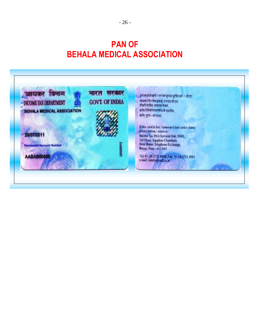## **PAN OF BEHALA MEDICAL ASSOCIATION**